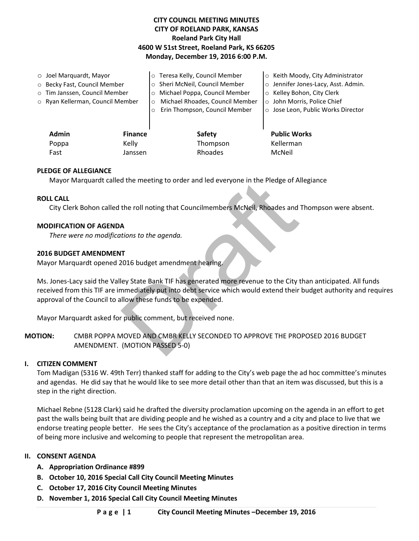# **CITY COUNCIL MEETING MINUTES CITY OF ROELAND PARK, KANSAS Roeland Park City Hall 4600 W 51st Street, Roeland Park, KS 66205 Monday, December 19, 2016 6:00 P.M.**

| $\circ$ Joel Marquardt, Mayor |                                  |                | o Teresa Kelly, Council Member             | o Keith Moody, City Administrator   |
|-------------------------------|----------------------------------|----------------|--------------------------------------------|-------------------------------------|
|                               | ○ Becky Fast, Council Member     |                | o Sheri McNeil, Council Member             | o Jennifer Jones-Lacy, Asst. Admin. |
|                               | o Tim Janssen, Council Member    |                | o Michael Poppa, Council Member            | ○ Kelley Bohon, City Clerk          |
|                               | ○ Ryan Kellerman, Council Member |                | Michael Rhoades, Council Member<br>$\circ$ | o John Morris, Police Chief         |
|                               |                                  |                | Erin Thompson, Council Member<br>$\circ$   | ○ Jose Leon, Public Works Director  |
|                               |                                  |                |                                            |                                     |
|                               | <b>Admin</b>                     | <b>Finance</b> | <b>Safety</b>                              | <b>Public Works</b>                 |
|                               | Poppa                            | Kelly          | Thompson                                   | Kellerman                           |
|                               | Fast                             | Janssen        | Rhoades                                    | McNeil                              |

### **PLEDGE OF ALLEGIANCE**

Mayor Marquardt called the meeting to order and led everyone in the Pledge of Allegiance

### **ROLL CALL**

City Clerk Bohon called the roll noting that Councilmembers McNeil, Rhoades and Thompson were absent.

### **MODIFICATION OF AGENDA**

*There were no modifications to the agenda.* 

### **2016 BUDGET AMENDMENT**

Mayor Marquardt opened 2016 budget amendment hearing.

of the meeting to order and led everyone in the Pledge of A<br>the roll noting that Councilmembers McNeil, Rhoades and<br>A<br>A<br>T<br>T<br>Draft budget amendment hearing.<br>In the state Bank TIF has generated more revenue to the City<br>inmed Ms. Jones-Lacy said the Valley State Bank TIF has generated more revenue to the City than anticipated. All funds received from this TIF are immediately put into debt service which would extend their budget authority and requires approval of the Council to allow these funds to be expended.

Mayor Marquardt asked for public comment, but received none.

**MOTION:** CMBR POPPA MOVED AND CMBR KELLY SECONDED TO APPROVE THE PROPOSED 2016 BUDGET AMENDMENT. (MOTION PASSED 5-0)

#### **I. CITIZEN COMMENT**

Tom Madigan (5316 W. 49th Terr) thanked staff for adding to the City's web page the ad hoc committee's minutes and agendas. He did say that he would like to see more detail other than that an item was discussed, but this is a step in the right direction.

Michael Rebne (5128 Clark) said he drafted the diversity proclamation upcoming on the agenda in an effort to get past the walls being built that are dividing people and he wished as a country and a city and place to live that we endorse treating people better. He sees the City's acceptance of the proclamation as a positive direction in terms of being more inclusive and welcoming to people that represent the metropolitan area.

### **II. CONSENT AGENDA**

- **A. Appropriation Ordinance #899**
- **B. October 10, 2016 Special Call City Council Meeting Minutes**
- **C. October 17, 2016 City Council Meeting Minutes**
- **D. November 1, 2016 Special Call City Council Meeting Minutes**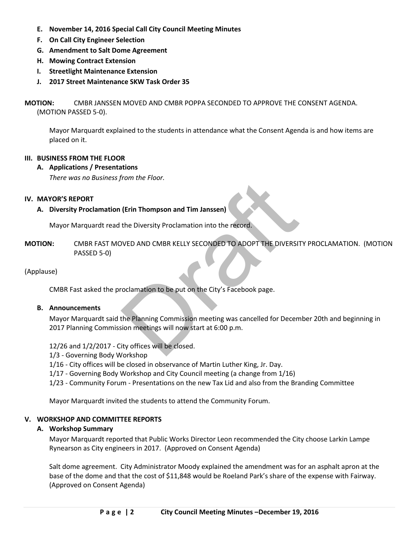- **E. November 14, 2016 Special Call City Council Meeting Minutes**
- **F. On Call City Engineer Selection**
- **G. Amendment to Salt Dome Agreement**
- **H. Mowing Contract Extension**
- **I. Streetlight Maintenance Extension**
- **J. 2017 Street Maintenance SKW Task Order 35**

**MOTION:** CMBR JANSSEN MOVED AND CMBR POPPA SECONDED TO APPROVE THE CONSENT AGENDA. (MOTION PASSED 5-0).

Mayor Marquardt explained to the students in attendance what the Consent Agenda is and how items are placed on it.

# **III. BUSINESS FROM THE FLOOR**

### **A. Applications / Presentations**

*There was no Business from the Floor.* 

### **IV. MAYOR'S REPORT**

### **A. Diversity Proclamation (Erin Thompson and Tim Janssen)**

Mayor Marquardt read the Diversity Proclamation into the record.

(Erin Thompson and Tim Janssen)<br>the Diversity Proclamation into the record.<br>NVED AND CMBR KELLY SECONDED TO ADOPT THE DIVERSIT<br>coclamation to be put on the City's Facebook page.<br>the Planning Commission meeting was cancelle **MOTION:** CMBR FAST MOVED AND CMBR KELLY SECONDED TO ADOPT THE DIVERSITY PROCLAMATION. (MOTION PASSED 5-0)

### (Applause)

CMBR Fast asked the proclamation to be put on the City's Facebook page.

#### **B. Announcements**

Mayor Marquardt said the Planning Commission meeting was cancelled for December 20th and beginning in 2017 Planning Commission meetings will now start at 6:00 p.m.

12/26 and 1/2/2017 - City offices will be closed.

- 1/3 Governing Body Workshop
- 1/16 City offices will be closed in observance of Martin Luther King, Jr. Day.
- 1/17 Governing Body Workshop and City Council meeting (a change from 1/16)
- 1/23 Community Forum Presentations on the new Tax Lid and also from the Branding Committee

Mayor Marquardt invited the students to attend the Community Forum.

### **V. WORKSHOP AND COMMITTEE REPORTS**

### **A. Workshop Summary**

Mayor Marquardt reported that Public Works Director Leon recommended the City choose Larkin Lampe Rynearson as City engineers in 2017. (Approved on Consent Agenda)

Salt dome agreement. City Administrator Moody explained the amendment was for an asphalt apron at the base of the dome and that the cost of \$11,848 would be Roeland Park's share of the expense with Fairway. (Approved on Consent Agenda)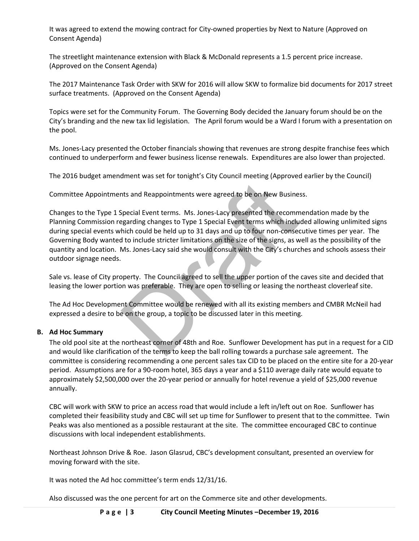It was agreed to extend the mowing contract for City-owned properties by Next to Nature (Approved on Consent Agenda)

The streetlight maintenance extension with Black & McDonald represents a 1.5 percent price increase. (Approved on the Consent Agenda)

The 2017 Maintenance Task Order with SKW for 2016 will allow SKW to formalize bid documents for 2017 street surface treatments. (Approved on the Consent Agenda)

Topics were set for the Community Forum. The Governing Body decided the January forum should be on the City's branding and the new tax lid legislation. The April forum would be a Ward I forum with a presentation on the pool.

Ms. Jones-Lacy presented the October financials showing that revenues are strong despite franchise fees which continued to underperform and fewer business license renewals. Expenditures are also lower than projected.

The 2016 budget amendment was set for tonight's City Council meeting (Approved earlier by the Council)

Committee Appointments and Reappointments were agreed to be on New Business.

best and Reappointments were agreed to be on New Busines<br>Special Event terms. Ms. Jones-Lacy presented the recommegarding changes to Type 1 Special Event terms which inclu<br>hich could be held up to 31 days and up to four no Changes to the Type 1 Special Event terms. Ms. Jones-Lacy presented the recommendation made by the Planning Commission regarding changes to Type 1 Special Event terms which included allowing unlimited signs during special events which could be held up to 31 days and up to four non-consecutive times per year. The Governing Body wanted to include stricter limitations on the size of the signs, as well as the possibility of the quantity and location. Ms. Jones-Lacy said she would consult with the City's churches and schools assess their outdoor signage needs.

Sale vs. lease of City property. The Council agreed to sell the upper portion of the caves site and decided that leasing the lower portion was preferable. They are open to selling or leasing the northeast cloverleaf site.

 The Ad Hoc Development Committee would be renewed with all its existing members and CMBR McNeil had expressed a desire to be on the group, a topic to be discussed later in this meeting.

### **B. Ad Hoc Summary**

The old pool site at the northeast corner of 48th and Roe. Sunflower Development has put in a request for a CID and would like clarification of the terms to keep the ball rolling towards a purchase sale agreement. The committee is considering recommending a one percent sales tax CID to be placed on the entire site for a 20-year period. Assumptions are for a 90-room hotel, 365 days a year and a \$110 average daily rate would equate to approximately \$2,500,000 over the 20-year period or annually for hotel revenue a yield of \$25,000 revenue annually.

CBC will work with SKW to price an access road that would include a left in/left out on Roe. Sunflower has completed their feasibility study and CBC will set up time for Sunflower to present that to the committee. Twin Peaks was also mentioned as a possible restaurant at the site. The committee encouraged CBC to continue discussions with local independent establishments.

Northeast Johnson Drive & Roe. Jason Glasrud, CBC's development consultant, presented an overview for moving forward with the site.

It was noted the Ad hoc committee's term ends 12/31/16.

Also discussed was the one percent for art on the Commerce site and other developments.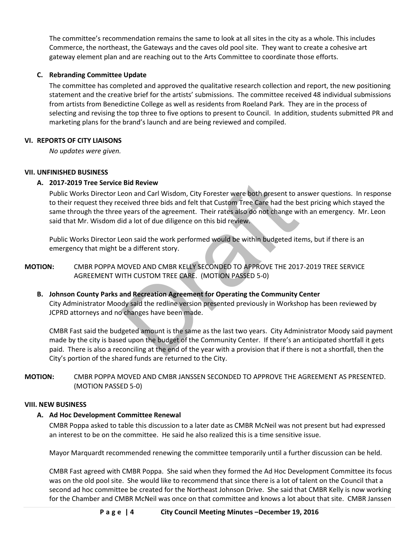The committee's recommendation remains the same to look at all sites in the city as a whole. This includes Commerce, the northeast, the Gateways and the caves old pool site. They want to create a cohesive art gateway element plan and are reaching out to the Arts Committee to coordinate those efforts.

# **C. Rebranding Committee Update**

The committee has completed and approved the qualitative research collection and report, the new positioning statement and the creative brief for the artists' submissions. The committee received 48 individual submissions from artists from Benedictine College as well as residents from Roeland Park. They are in the process of selecting and revising the top three to five options to present to Council. In addition, students submitted PR and marketing plans for the brand's launch and are being reviewed and compiled.

# **VI. REPORTS OF CITY LIAISONS**

*No updates were given.*

# **VII. UNFINISHED BUSINESS**

# **A. 2017-2019 Tree Service Bid Review**

**Example 18 All All State State All State State State State State State State State State State State State State State State State State State State State State State State State State State State State State State State** Public Works Director Leon and Carl Wisdom, City Forester were both present to answer questions. In response to their request they received three bids and felt that Custom Tree Care had the best pricing which stayed the same through the three years of the agreement. Their rates also do not change with an emergency. Mr. Leon said that Mr. Wisdom did a lot of due diligence on this bid review.

Public Works Director Leon said the work performed would be within budgeted items, but if there is an emergency that might be a different story.

- **MOTION:** CMBR POPPA MOVED AND CMBR KELLY SECONDED TO APPROVE THE 2017-2019 TREE SERVICE AGREEMENT WITH CUSTOM TREE CARE. (MOTION PASSED 5-0)
	- **B. Johnson County Parks and Recreation Agreement for Operating the Community Center**  City Administrator Moody said the redline version presented previously in Workshop has been reviewed by JCPRD attorneys and no changes have been made.

CMBR Fast said the budgeted amount is the same as the last two years. City Administrator Moody said payment made by the city is based upon the budget of the Community Center. If there's an anticipated shortfall it gets paid. There is also a reconciling at the end of the year with a provision that if there is not a shortfall, then the City's portion of the shared funds are returned to the City.

**MOTION:** CMBR POPPA MOVED AND CMBR JANSSEN SECONDED TO APPROVE THE AGREEMENT AS PRESENTED. (MOTION PASSED 5-0)

### **VIII. NEW BUSINESS**

# **A. Ad Hoc Development Committee Renewal**

CMBR Poppa asked to table this discussion to a later date as CMBR McNeil was not present but had expressed an interest to be on the committee. He said he also realized this is a time sensitive issue.

Mayor Marquardt recommended renewing the committee temporarily until a further discussion can be held.

CMBR Fast agreed with CMBR Poppa. She said when they formed the Ad Hoc Development Committee its focus was on the old pool site. She would like to recommend that since there is a lot of talent on the Council that a second ad hoc committee be created for the Northeast Johnson Drive. She said that CMBR Kelly is now working for the Chamber and CMBR McNeil was once on that committee and knows a lot about that site. CMBR Janssen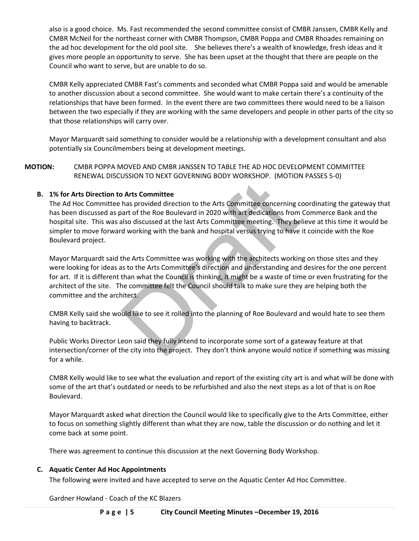also is a good choice. Ms. Fast recommended the second committee consist of CMBR Janssen, CMBR Kelly and CMBR McNeil for the northeast corner with CMBR Thompson, CMBR Poppa and CMBR Rhoades remaining on the ad hoc development for the old pool site. She believes there's a wealth of knowledge, fresh ideas and it gives more people an opportunity to serve. She has been upset at the thought that there are people on the Council who want to serve, but are unable to do so.

CMBR Kelly appreciated CMBR Fast's comments and seconded what CMBR Poppa said and would be amenable to another discussion about a second committee. She would want to make certain there's a continuity of the relationships that have been formed. In the event there are two committees there would need to be a liaison between the two especially if they are working with the same developers and people in other parts of the city so that those relationships will carry over.

Mayor Marquardt said something to consider would be a relationship with a development consultant and also potentially six Councilmembers being at development meetings.

**MOTION:** CMBR POPPA MOVED AND CMBR JANSSEN TO TABLE THE AD HOC DEVELOPMENT COMMITTEE RENEWAL DISCUSSION TO NEXT GOVERNING BODY WORKSHOP. (MOTION PASSES 5-0)

# **B. 1% for Arts Direction to Arts Committee**

The Ad Hoc Committee has provided direction to the Arts Committee concerning coordinating the gateway that has been discussed as part of the Roe Boulevard in 2020 with art dedications from Commerce Bank and the hospital site. This was also discussed at the last Arts Committee meeting. They believe at this time it would be simpler to move forward working with the bank and hospital versus trying to have it coincide with the Roe Boulevard project.

**Solution:** A also provided direction to the Arts Committee concerning control of the Roe Boulevard in 2020 with art dedications from also discussed at the last Arts Committee meeting. They be downking with the bank and ho Mayor Marquardt said the Arts Committee was working with the architects working on those sites and they were looking for ideas as to the Arts Committee's direction and understanding and desires for the one percent for art. If it is different than what the Council is thinking, it might be a waste of time or even frustrating for the architect of the site. The committee felt the Council should talk to make sure they are helping both the committee and the architect.

CMBR Kelly said she would like to see it rolled into the planning of Roe Boulevard and would hate to see them having to backtrack.

Public Works Director Leon said they fully intend to incorporate some sort of a gateway feature at that intersection/corner of the city into the project. They don't think anyone would notice if something was missing for a while.

CMBR Kelly would like to see what the evaluation and report of the existing city art is and what will be done with some of the art that's outdated or needs to be refurbished and also the next steps as a lot of that is on Roe Boulevard.

Mayor Marquardt asked what direction the Council would like to specifically give to the Arts Committee, either to focus on something slightly different than what they are now, table the discussion or do nothing and let it come back at some point.

There was agreement to continue this discussion at the next Governing Body Workshop.

### **C. Aquatic Center Ad Hoc Appointments**

The following were invited and have accepted to serve on the Aquatic Center Ad Hoc Committee.

Gardner Howland - Coach of the KC Blazers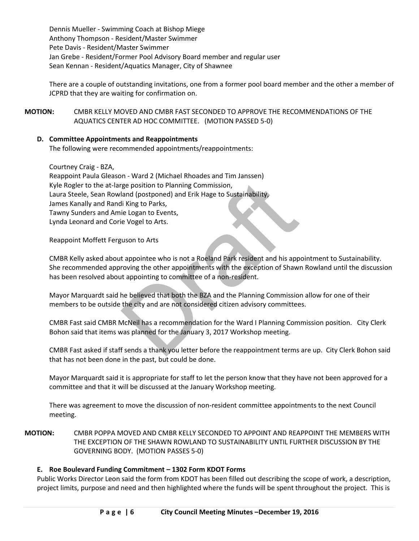Dennis Mueller - Swimming Coach at Bishop Miege Anthony Thompson - Resident/Master Swimmer Pete Davis - Resident/Master Swimmer Jan Grebe - Resident/Former Pool Advisory Board member and regular user Sean Kennan - Resident/Aquatics Manager, City of Shawnee

There are a couple of outstanding invitations, one from a former pool board member and the other a member of JCPRD that they are waiting for confirmation on.

**MOTION:** CMBR KELLY MOVED AND CMBR FAST SECONDED TO APPROVE THE RECOMMENDATIONS OF THE AQUATICS CENTER AD HOC COMMITTEE. (MOTION PASSED 5-0)

# **D. Committee Appointments and Reappointments**

The following were recommended appointments/reappointments:

Courtney Craig - BZA,

represe position to Planning Commission,<br>
land (postponed) and Erik Hage to Sustainability,<br>
li King to Parks,<br>
ie Logan to Events,<br>
ie Vogel to Arts.<br>
ie Vogel to Arts.<br>
tappointee who is not a Roeland Park resident and h Reappoint Paula Gleason - Ward 2 (Michael Rhoades and Tim Janssen) Kyle Rogler to the at-large position to Planning Commission, Laura Steele, Sean Rowland (postponed) and Erik Hage to Sustainability, James Kanally and Randi King to Parks, Tawny Sunders and Amie Logan to Events, Lynda Leonard and Corie Vogel to Arts.

Reappoint Moffett Ferguson to Arts

CMBR Kelly asked about appointee who is not a Roeland Park resident and his appointment to Sustainability. She recommended approving the other appointments with the exception of Shawn Rowland until the discussion has been resolved about appointing to committee of a non-resident.

Mayor Marquardt said he believed that both the BZA and the Planning Commission allow for one of their members to be outside the city and are not considered citizen advisory committees.

CMBR Fast said CMBR McNeil has a recommendation for the Ward I Planning Commission position. City Clerk Bohon said that items was planned for the January 3, 2017 Workshop meeting.

CMBR Fast asked if staff sends a thank you letter before the reappointment terms are up. City Clerk Bohon said that has not been done in the past, but could be done.

Mayor Marquardt said it is appropriate for staff to let the person know that they have not been approved for a committee and that it will be discussed at the January Workshop meeting.

There was agreement to move the discussion of non-resident committee appointments to the next Council meeting.

**MOTION:** CMBR POPPA MOVED AND CMBR KELLY SECONDED TO APPOINT AND REAPPOINT THE MEMBERS WITH THE EXCEPTION OF THE SHAWN ROWLAND TO SUSTAINABILITY UNTIL FURTHER DISCUSSION BY THE GOVERNING BODY. (MOTION PASSES 5-0)

### **E. Roe Boulevard Funding Commitment – 1302 Form KDOT Forms**

Public Works Director Leon said the form from KDOT has been filled out describing the scope of work, a description, project limits, purpose and need and then highlighted where the funds will be spent throughout the project. This is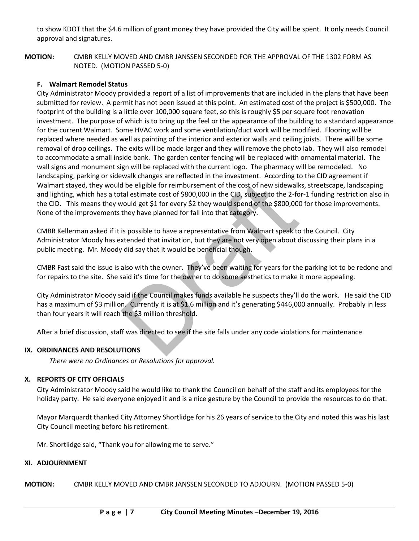to show KDOT that the \$4.6 million of grant money they have provided the City will be spent. It only needs Council approval and signatures.

**MOTION:** CMBR KELLY MOVED AND CMBR JANSSEN SECONDED FOR THE APPROVAL OF THE 1302 FORM AS NOTED. (MOTION PASSED 5-0)

### **F. Walmart Remodel Status**

d be eligible for reimbursement of the cost of new sidewalk<br>tal estimate cost of \$800,000 in the CID, subject to the 2-fo<br>vould get \$1 for every \$2 they would spend of the \$800,000<br>they have planned for fall into that cate City Administrator Moody provided a report of a list of improvements that are included in the plans that have been submitted for review. A permit has not been issued at this point. An estimated cost of the project is \$500,000. The footprint of the building is a little over 100,000 square feet, so this is roughly \$5 per square foot renovation investment. The purpose of which is to bring up the feel or the appearance of the building to a standard appearance for the current Walmart. Some HVAC work and some ventilation/duct work will be modified. Flooring will be replaced where needed as well as painting of the interior and exterior walls and ceiling joists. There will be some removal of drop ceilings. The exits will be made larger and they will remove the photo lab. They will also remodel to accommodate a small inside bank. The garden center fencing will be replaced with ornamental material. The wall signs and monument sign will be replaced with the current logo. The pharmacy will be remodeled. No landscaping, parking or sidewalk changes are reflected in the investment. According to the CID agreement if Walmart stayed, they would be eligible for reimbursement of the cost of new sidewalks, streetscape, landscaping and lighting, which has a total estimate cost of \$800,000 in the CID, subject to the 2-for-1 funding restriction also in the CID. This means they would get \$1 for every \$2 they would spend of the \$800,000 for those improvements. None of the improvements they have planned for fall into that category.

CMBR Kellerman asked if it is possible to have a representative from Walmart speak to the Council. City Administrator Moody has extended that invitation, but they are not very open about discussing their plans in a public meeting. Mr. Moody did say that it would be beneficial though.

CMBR Fast said the issue is also with the owner. They've been waiting for years for the parking lot to be redone and for repairs to the site. She said it's time for the owner to do some aesthetics to make it more appealing.

City Administrator Moody said if the Council makes funds available he suspects they'll do the work. He said the CID has a maximum of \$3 million. Currently it is at \$1.6 million and it's generating \$446,000 annually. Probably in less than four years it will reach the \$3 million threshold.

After a brief discussion, staff was directed to see if the site falls under any code violations for maintenance.

### **IX. ORDINANCES AND RESOLUTIONS**

*There were no Ordinances or Resolutions for approval.* 

## **X. REPORTS OF CITY OFFICIALS**

City Administrator Moody said he would like to thank the Council on behalf of the staff and its employees for the holiday party. He said everyone enjoyed it and is a nice gesture by the Council to provide the resources to do that.

Mayor Marquardt thanked City Attorney Shortlidge for his 26 years of service to the City and noted this was his last City Council meeting before his retirement.

Mr. Shortlidge said, "Thank you for allowing me to serve."

### **XI. ADJOURNMENT**

**MOTION:** CMBR KELLY MOVED AND CMBR JANSSEN SECONDED TO ADJOURN. (MOTION PASSED 5-0)